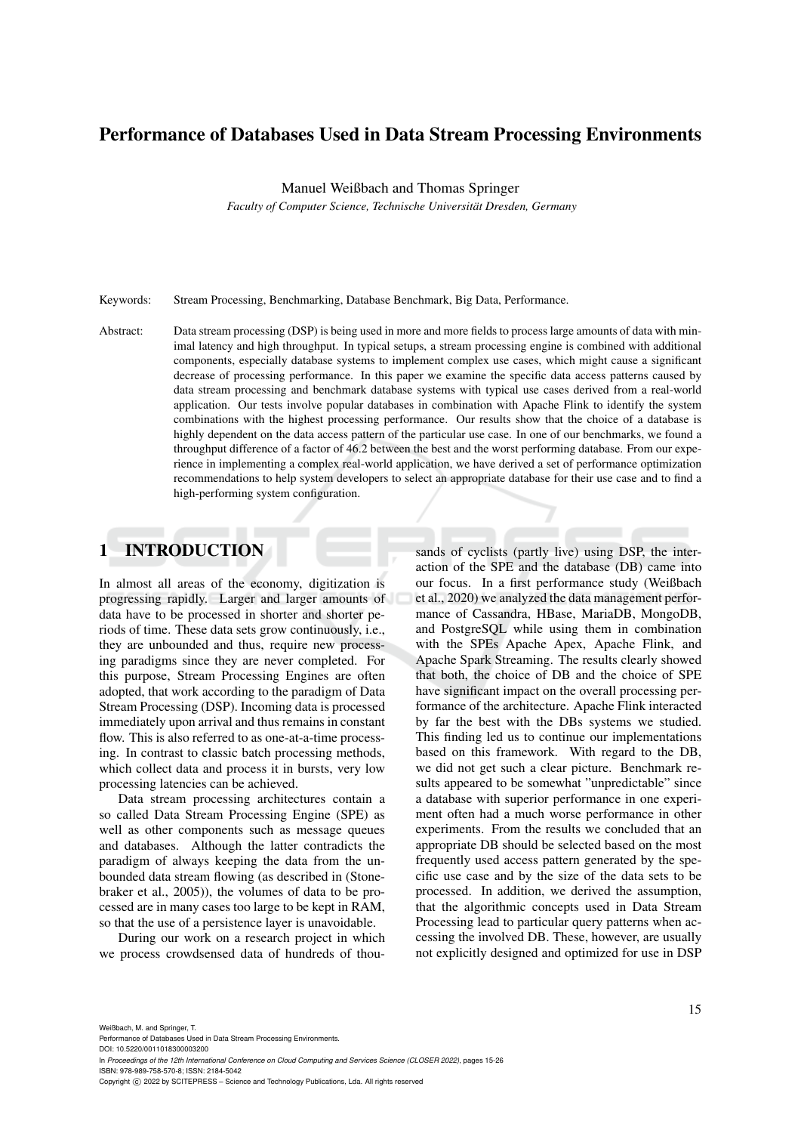# Performance of Databases Used in Data Stream Processing Environments

Manuel Weißbach and Thomas Springer

*Faculty of Computer Science, Technische Universitat Dresden, Germany ¨*

Keywords: Stream Processing, Benchmarking, Database Benchmark, Big Data, Performance.

Abstract: Data stream processing (DSP) is being used in more and more fields to process large amounts of data with minimal latency and high throughput. In typical setups, a stream processing engine is combined with additional components, especially database systems to implement complex use cases, which might cause a significant decrease of processing performance. In this paper we examine the specific data access patterns caused by data stream processing and benchmark database systems with typical use cases derived from a real-world application. Our tests involve popular databases in combination with Apache Flink to identify the system combinations with the highest processing performance. Our results show that the choice of a database is highly dependent on the data access pattern of the particular use case. In one of our benchmarks, we found a throughput difference of a factor of 46.2 between the best and the worst performing database. From our experience in implementing a complex real-world application, we have derived a set of performance optimization recommendations to help system developers to select an appropriate database for their use case and to find a high-performing system configuration.

# 1 INTRODUCTION

In almost all areas of the economy, digitization is progressing rapidly. Larger and larger amounts of data have to be processed in shorter and shorter periods of time. These data sets grow continuously, i.e., they are unbounded and thus, require new processing paradigms since they are never completed. For this purpose, Stream Processing Engines are often adopted, that work according to the paradigm of Data Stream Processing (DSP). Incoming data is processed immediately upon arrival and thus remains in constant flow. This is also referred to as one-at-a-time processing. In contrast to classic batch processing methods, which collect data and process it in bursts, very low processing latencies can be achieved.

Data stream processing architectures contain a so called Data Stream Processing Engine (SPE) as well as other components such as message queues and databases. Although the latter contradicts the paradigm of always keeping the data from the unbounded data stream flowing (as described in (Stonebraker et al., 2005)), the volumes of data to be processed are in many cases too large to be kept in RAM, so that the use of a persistence layer is unavoidable.

During our work on a research project in which we process crowdsensed data of hundreds of thou-

sands of cyclists (partly live) using DSP, the interaction of the SPE and the database (DB) came into our focus. In a first performance study (Weißbach et al., 2020) we analyzed the data management performance of Cassandra, HBase, MariaDB, MongoDB, and PostgreSQL while using them in combination with the SPEs Apache Apex, Apache Flink, and Apache Spark Streaming. The results clearly showed that both, the choice of DB and the choice of SPE have significant impact on the overall processing performance of the architecture. Apache Flink interacted by far the best with the DBs systems we studied. This finding led us to continue our implementations based on this framework. With regard to the DB, we did not get such a clear picture. Benchmark results appeared to be somewhat "unpredictable" since a database with superior performance in one experiment often had a much worse performance in other experiments. From the results we concluded that an appropriate DB should be selected based on the most frequently used access pattern generated by the specific use case and by the size of the data sets to be processed. In addition, we derived the assumption, that the algorithmic concepts used in Data Stream Processing lead to particular query patterns when accessing the involved DB. These, however, are usually not explicitly designed and optimized for use in DSP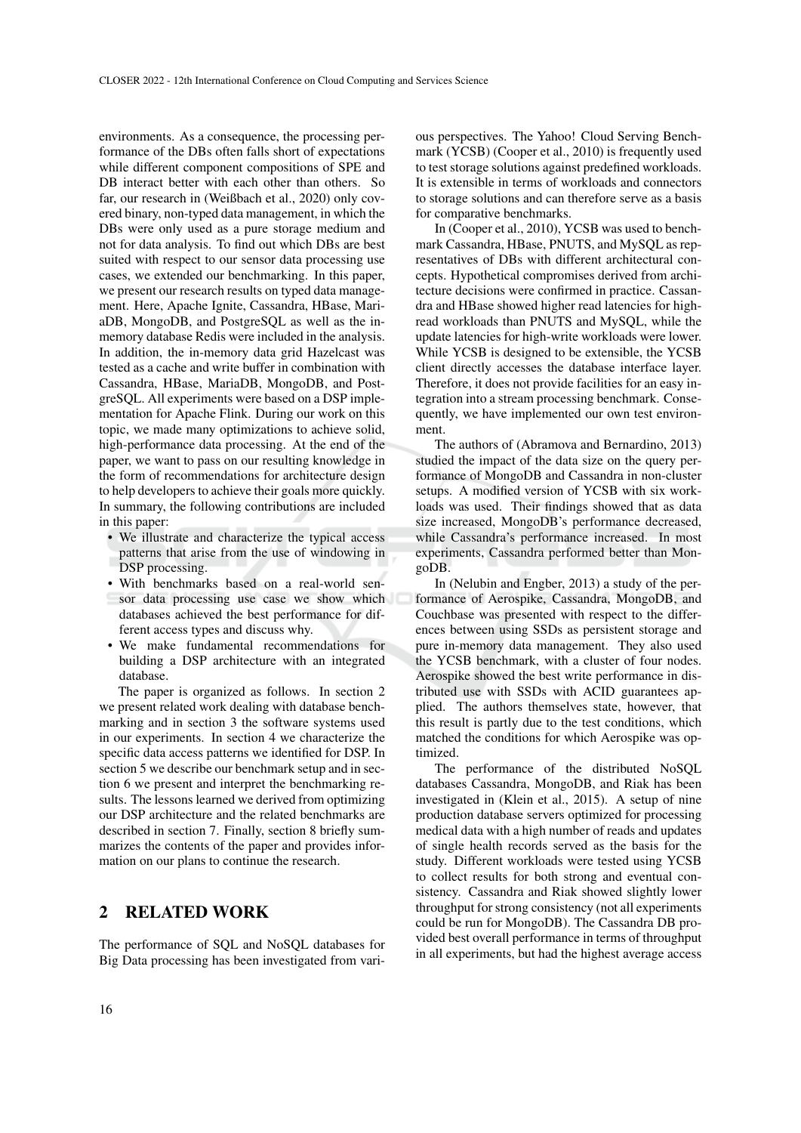environments. As a consequence, the processing performance of the DBs often falls short of expectations while different component compositions of SPE and DB interact better with each other than others. So far, our research in (Weißbach et al., 2020) only covered binary, non-typed data management, in which the DBs were only used as a pure storage medium and not for data analysis. To find out which DBs are best suited with respect to our sensor data processing use cases, we extended our benchmarking. In this paper, we present our research results on typed data management. Here, Apache Ignite, Cassandra, HBase, MariaDB, MongoDB, and PostgreSQL as well as the inmemory database Redis were included in the analysis. In addition, the in-memory data grid Hazelcast was tested as a cache and write buffer in combination with Cassandra, HBase, MariaDB, MongoDB, and PostgreSQL. All experiments were based on a DSP implementation for Apache Flink. During our work on this topic, we made many optimizations to achieve solid, high-performance data processing. At the end of the paper, we want to pass on our resulting knowledge in the form of recommendations for architecture design to help developers to achieve their goals more quickly. In summary, the following contributions are included in this paper:

- We illustrate and characterize the typical access patterns that arise from the use of windowing in DSP processing.
- With benchmarks based on a real-world sensor data processing use case we show which databases achieved the best performance for different access types and discuss why.
- We make fundamental recommendations for building a DSP architecture with an integrated database.

The paper is organized as follows. In section 2 we present related work dealing with database benchmarking and in section 3 the software systems used in our experiments. In section 4 we characterize the specific data access patterns we identified for DSP. In section 5 we describe our benchmark setup and in section 6 we present and interpret the benchmarking results. The lessons learned we derived from optimizing our DSP architecture and the related benchmarks are described in section 7. Finally, section 8 briefly summarizes the contents of the paper and provides information on our plans to continue the research.

## 2 RELATED WORK

The performance of SQL and NoSQL databases for Big Data processing has been investigated from various perspectives. The Yahoo! Cloud Serving Benchmark (YCSB) (Cooper et al., 2010) is frequently used to test storage solutions against predefined workloads. It is extensible in terms of workloads and connectors to storage solutions and can therefore serve as a basis for comparative benchmarks.

In (Cooper et al., 2010), YCSB was used to benchmark Cassandra, HBase, PNUTS, and MySQL as representatives of DBs with different architectural concepts. Hypothetical compromises derived from architecture decisions were confirmed in practice. Cassandra and HBase showed higher read latencies for highread workloads than PNUTS and MySQL, while the update latencies for high-write workloads were lower. While YCSB is designed to be extensible, the YCSB client directly accesses the database interface layer. Therefore, it does not provide facilities for an easy integration into a stream processing benchmark. Consequently, we have implemented our own test environment.

The authors of (Abramova and Bernardino, 2013) studied the impact of the data size on the query performance of MongoDB and Cassandra in non-cluster setups. A modified version of YCSB with six workloads was used. Their findings showed that as data size increased, MongoDB's performance decreased, while Cassandra's performance increased. In most experiments, Cassandra performed better than MongoDB.

In (Nelubin and Engber, 2013) a study of the performance of Aerospike, Cassandra, MongoDB, and Couchbase was presented with respect to the differences between using SSDs as persistent storage and pure in-memory data management. They also used the YCSB benchmark, with a cluster of four nodes. Aerospike showed the best write performance in distributed use with SSDs with ACID guarantees applied. The authors themselves state, however, that this result is partly due to the test conditions, which matched the conditions for which Aerospike was optimized.

The performance of the distributed NoSQL databases Cassandra, MongoDB, and Riak has been investigated in (Klein et al., 2015). A setup of nine production database servers optimized for processing medical data with a high number of reads and updates of single health records served as the basis for the study. Different workloads were tested using YCSB to collect results for both strong and eventual consistency. Cassandra and Riak showed slightly lower throughput for strong consistency (not all experiments could be run for MongoDB). The Cassandra DB provided best overall performance in terms of throughput in all experiments, but had the highest average access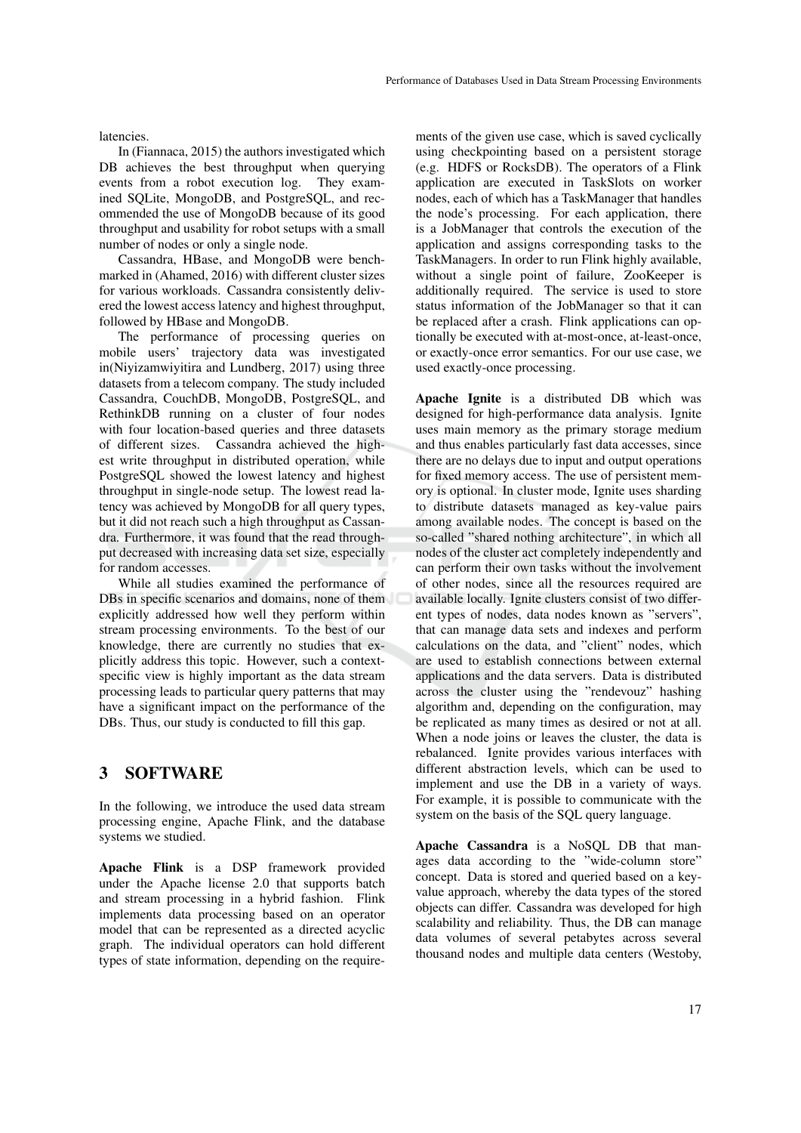latencies.

In (Fiannaca, 2015) the authors investigated which DB achieves the best throughput when querying events from a robot execution log. They examined SQLite, MongoDB, and PostgreSQL, and recommended the use of MongoDB because of its good throughput and usability for robot setups with a small number of nodes or only a single node.

Cassandra, HBase, and MongoDB were benchmarked in (Ahamed, 2016) with different cluster sizes for various workloads. Cassandra consistently delivered the lowest access latency and highest throughput, followed by HBase and MongoDB.

The performance of processing queries on mobile users' trajectory data was investigated in(Niyizamwiyitira and Lundberg, 2017) using three datasets from a telecom company. The study included Cassandra, CouchDB, MongoDB, PostgreSQL, and RethinkDB running on a cluster of four nodes with four location-based queries and three datasets of different sizes. Cassandra achieved the highest write throughput in distributed operation, while PostgreSQL showed the lowest latency and highest throughput in single-node setup. The lowest read latency was achieved by MongoDB for all query types, but it did not reach such a high throughput as Cassandra. Furthermore, it was found that the read throughput decreased with increasing data set size, especially for random accesses.

While all studies examined the performance of DBs in specific scenarios and domains, none of them explicitly addressed how well they perform within stream processing environments. To the best of our knowledge, there are currently no studies that explicitly address this topic. However, such a contextspecific view is highly important as the data stream processing leads to particular query patterns that may have a significant impact on the performance of the DBs. Thus, our study is conducted to fill this gap.

### 3 SOFTWARE

In the following, we introduce the used data stream processing engine, Apache Flink, and the database systems we studied.

Apache Flink is a DSP framework provided under the Apache license 2.0 that supports batch and stream processing in a hybrid fashion. Flink implements data processing based on an operator model that can be represented as a directed acyclic graph. The individual operators can hold different types of state information, depending on the require-

ments of the given use case, which is saved cyclically using checkpointing based on a persistent storage (e.g. HDFS or RocksDB). The operators of a Flink application are executed in TaskSlots on worker nodes, each of which has a TaskManager that handles the node's processing. For each application, there is a JobManager that controls the execution of the application and assigns corresponding tasks to the TaskManagers. In order to run Flink highly available, without a single point of failure, ZooKeeper is additionally required. The service is used to store status information of the JobManager so that it can be replaced after a crash. Flink applications can optionally be executed with at-most-once, at-least-once, or exactly-once error semantics. For our use case, we used exactly-once processing.

Apache Ignite is a distributed DB which was designed for high-performance data analysis. Ignite uses main memory as the primary storage medium and thus enables particularly fast data accesses, since there are no delays due to input and output operations for fixed memory access. The use of persistent memory is optional. In cluster mode, Ignite uses sharding to distribute datasets managed as key-value pairs among available nodes. The concept is based on the so-called "shared nothing architecture", in which all nodes of the cluster act completely independently and can perform their own tasks without the involvement of other nodes, since all the resources required are available locally. Ignite clusters consist of two different types of nodes, data nodes known as "servers", that can manage data sets and indexes and perform calculations on the data, and "client" nodes, which are used to establish connections between external applications and the data servers. Data is distributed across the cluster using the "rendevouz" hashing algorithm and, depending on the configuration, may be replicated as many times as desired or not at all. When a node joins or leaves the cluster, the data is rebalanced. Ignite provides various interfaces with different abstraction levels, which can be used to implement and use the DB in a variety of ways. For example, it is possible to communicate with the system on the basis of the SQL query language.

Apache Cassandra is a NoSQL DB that manages data according to the "wide-column store" concept. Data is stored and queried based on a keyvalue approach, whereby the data types of the stored objects can differ. Cassandra was developed for high scalability and reliability. Thus, the DB can manage data volumes of several petabytes across several thousand nodes and multiple data centers (Westoby,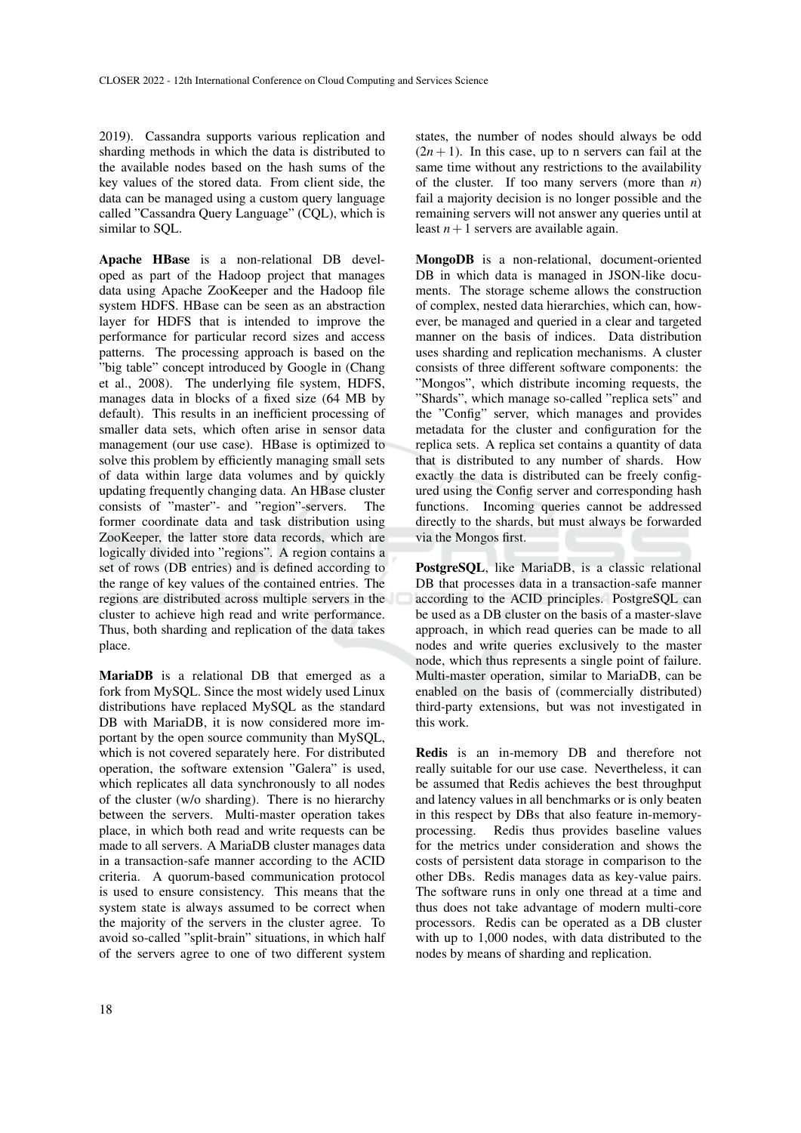2019). Cassandra supports various replication and sharding methods in which the data is distributed to the available nodes based on the hash sums of the key values of the stored data. From client side, the data can be managed using a custom query language called "Cassandra Query Language" (CQL), which is similar to SQL.

Apache HBase is a non-relational DB developed as part of the Hadoop project that manages data using Apache ZooKeeper and the Hadoop file system HDFS. HBase can be seen as an abstraction layer for HDFS that is intended to improve the performance for particular record sizes and access patterns. The processing approach is based on the "big table" concept introduced by Google in (Chang et al., 2008). The underlying file system, HDFS, manages data in blocks of a fixed size (64 MB by default). This results in an inefficient processing of smaller data sets, which often arise in sensor data management (our use case). HBase is optimized to solve this problem by efficiently managing small sets of data within large data volumes and by quickly updating frequently changing data. An HBase cluster consists of "master"- and "region"-servers. The former coordinate data and task distribution using ZooKeeper, the latter store data records, which are logically divided into "regions". A region contains a set of rows (DB entries) and is defined according to the range of key values of the contained entries. The regions are distributed across multiple servers in the cluster to achieve high read and write performance. Thus, both sharding and replication of the data takes place.

MariaDB is a relational DB that emerged as a fork from MySQL. Since the most widely used Linux distributions have replaced MySQL as the standard DB with MariaDB, it is now considered more important by the open source community than MySQL, which is not covered separately here. For distributed operation, the software extension "Galera" is used, which replicates all data synchronously to all nodes of the cluster (w/o sharding). There is no hierarchy between the servers. Multi-master operation takes place, in which both read and write requests can be made to all servers. A MariaDB cluster manages data in a transaction-safe manner according to the ACID criteria. A quorum-based communication protocol is used to ensure consistency. This means that the system state is always assumed to be correct when the majority of the servers in the cluster agree. To avoid so-called "split-brain" situations, in which half of the servers agree to one of two different system

states, the number of nodes should always be odd  $(2n + 1)$ . In this case, up to n servers can fail at the same time without any restrictions to the availability of the cluster. If too many servers (more than *n*) fail a majority decision is no longer possible and the remaining servers will not answer any queries until at least  $n+1$  servers are available again.

MongoDB is a non-relational, document-oriented DB in which data is managed in JSON-like documents. The storage scheme allows the construction of complex, nested data hierarchies, which can, however, be managed and queried in a clear and targeted manner on the basis of indices. Data distribution uses sharding and replication mechanisms. A cluster consists of three different software components: the "Mongos", which distribute incoming requests, the "Shards", which manage so-called "replica sets" and the "Config" server, which manages and provides metadata for the cluster and configuration for the replica sets. A replica set contains a quantity of data that is distributed to any number of shards. How exactly the data is distributed can be freely configured using the Config server and corresponding hash functions. Incoming queries cannot be addressed directly to the shards, but must always be forwarded via the Mongos first.

PostgreSQL, like MariaDB, is a classic relational DB that processes data in a transaction-safe manner according to the ACID principles. PostgreSQL can be used as a DB cluster on the basis of a master-slave approach, in which read queries can be made to all nodes and write queries exclusively to the master node, which thus represents a single point of failure. Multi-master operation, similar to MariaDB, can be enabled on the basis of (commercially distributed) third-party extensions, but was not investigated in this work.

Redis is an in-memory DB and therefore not really suitable for our use case. Nevertheless, it can be assumed that Redis achieves the best throughput and latency values in all benchmarks or is only beaten in this respect by DBs that also feature in-memoryprocessing. Redis thus provides baseline values for the metrics under consideration and shows the costs of persistent data storage in comparison to the other DBs. Redis manages data as key-value pairs. The software runs in only one thread at a time and thus does not take advantage of modern multi-core processors. Redis can be operated as a DB cluster with up to 1,000 nodes, with data distributed to the nodes by means of sharding and replication.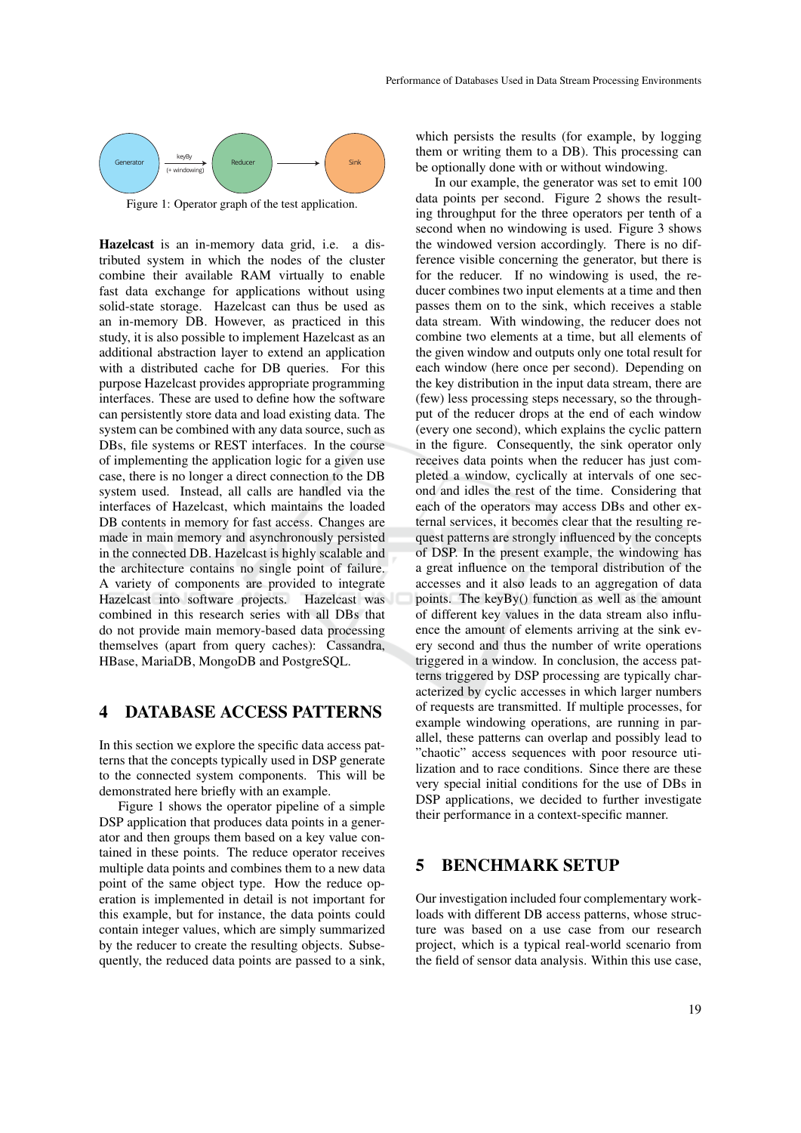

Figure 1: Operator graph of the test application.

Hazelcast is an in-memory data grid, i.e. a distributed system in which the nodes of the cluster combine their available RAM virtually to enable fast data exchange for applications without using solid-state storage. Hazelcast can thus be used as an in-memory DB. However, as practiced in this study, it is also possible to implement Hazelcast as an additional abstraction layer to extend an application with a distributed cache for DB queries. For this purpose Hazelcast provides appropriate programming interfaces. These are used to define how the software can persistently store data and load existing data. The system can be combined with any data source, such as DBs, file systems or REST interfaces. In the course of implementing the application logic for a given use case, there is no longer a direct connection to the DB system used. Instead, all calls are handled via the interfaces of Hazelcast, which maintains the loaded DB contents in memory for fast access. Changes are made in main memory and asynchronously persisted in the connected DB. Hazelcast is highly scalable and the architecture contains no single point of failure. A variety of components are provided to integrate Hazelcast into software projects. Hazelcast was combined in this research series with all DBs that do not provide main memory-based data processing themselves (apart from query caches): Cassandra, HBase, MariaDB, MongoDB and PostgreSQL.

#### 4 DATABASE ACCESS PATTERNS

In this section we explore the specific data access patterns that the concepts typically used in DSP generate to the connected system components. This will be demonstrated here briefly with an example.

Figure 1 shows the operator pipeline of a simple DSP application that produces data points in a generator and then groups them based on a key value contained in these points. The reduce operator receives multiple data points and combines them to a new data point of the same object type. How the reduce operation is implemented in detail is not important for this example, but for instance, the data points could contain integer values, which are simply summarized by the reducer to create the resulting objects. Subsequently, the reduced data points are passed to a sink,

which persists the results (for example, by logging them or writing them to a DB). This processing can be optionally done with or without windowing.

In our example, the generator was set to emit 100 data points per second. Figure 2 shows the resulting throughput for the three operators per tenth of a second when no windowing is used. Figure 3 shows the windowed version accordingly. There is no difference visible concerning the generator, but there is for the reducer. If no windowing is used, the reducer combines two input elements at a time and then passes them on to the sink, which receives a stable data stream. With windowing, the reducer does not combine two elements at a time, but all elements of the given window and outputs only one total result for each window (here once per second). Depending on the key distribution in the input data stream, there are (few) less processing steps necessary, so the throughput of the reducer drops at the end of each window (every one second), which explains the cyclic pattern in the figure. Consequently, the sink operator only receives data points when the reducer has just completed a window, cyclically at intervals of one second and idles the rest of the time. Considering that each of the operators may access DBs and other external services, it becomes clear that the resulting request patterns are strongly influenced by the concepts of DSP. In the present example, the windowing has a great influence on the temporal distribution of the accesses and it also leads to an aggregation of data points. The keyBy() function as well as the amount of different key values in the data stream also influence the amount of elements arriving at the sink every second and thus the number of write operations triggered in a window. In conclusion, the access patterns triggered by DSP processing are typically characterized by cyclic accesses in which larger numbers of requests are transmitted. If multiple processes, for example windowing operations, are running in parallel, these patterns can overlap and possibly lead to "chaotic" access sequences with poor resource utilization and to race conditions. Since there are these very special initial conditions for the use of DBs in DSP applications, we decided to further investigate their performance in a context-specific manner.

#### 5 BENCHMARK SETUP

Our investigation included four complementary workloads with different DB access patterns, whose structure was based on a use case from our research project, which is a typical real-world scenario from the field of sensor data analysis. Within this use case,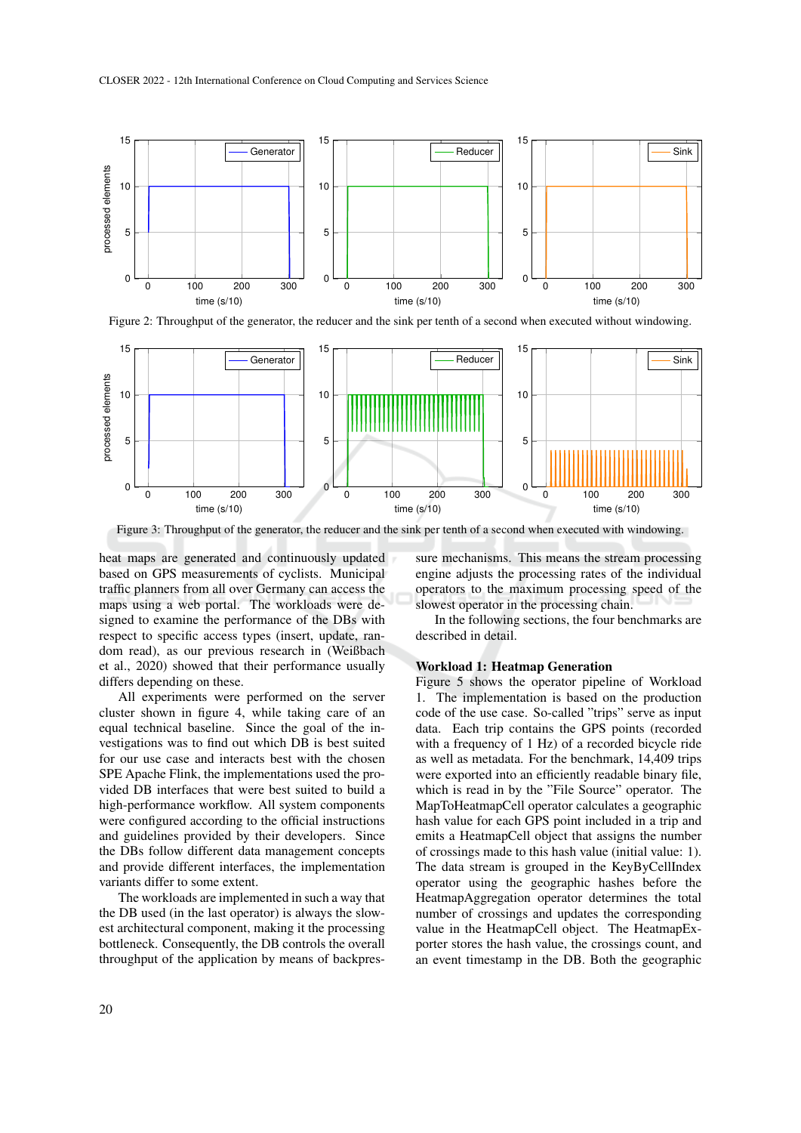

Figure 2: Throughput of the generator, the reducer and the sink per tenth of a second when executed without windowing.



Figure 3: Throughput of the generator, the reducer and the sink per tenth of a second when executed with windowing.

heat maps are generated and continuously updated based on GPS measurements of cyclists. Municipal traffic planners from all over Germany can access the maps using a web portal. The workloads were designed to examine the performance of the DBs with respect to specific access types (insert, update, random read), as our previous research in (Weißbach et al., 2020) showed that their performance usually differs depending on these.

All experiments were performed on the server cluster shown in figure 4, while taking care of an equal technical baseline. Since the goal of the investigations was to find out which DB is best suited for our use case and interacts best with the chosen SPE Apache Flink, the implementations used the provided DB interfaces that were best suited to build a high-performance workflow. All system components were configured according to the official instructions and guidelines provided by their developers. Since the DBs follow different data management concepts and provide different interfaces, the implementation variants differ to some extent.

The workloads are implemented in such a way that the DB used (in the last operator) is always the slowest architectural component, making it the processing bottleneck. Consequently, the DB controls the overall throughput of the application by means of backpressure mechanisms. This means the stream processing engine adjusts the processing rates of the individual operators to the maximum processing speed of the slowest operator in the processing chain.

In the following sections, the four benchmarks are described in detail.

#### Workload 1: Heatmap Generation

Figure 5 shows the operator pipeline of Workload 1. The implementation is based on the production code of the use case. So-called "trips" serve as input data. Each trip contains the GPS points (recorded with a frequency of 1 Hz) of a recorded bicycle ride as well as metadata. For the benchmark, 14,409 trips were exported into an efficiently readable binary file, which is read in by the "File Source" operator. The MapToHeatmapCell operator calculates a geographic hash value for each GPS point included in a trip and emits a HeatmapCell object that assigns the number of crossings made to this hash value (initial value: 1). The data stream is grouped in the KeyByCellIndex operator using the geographic hashes before the HeatmapAggregation operator determines the total number of crossings and updates the corresponding value in the HeatmapCell object. The HeatmapExporter stores the hash value, the crossings count, and an event timestamp in the DB. Both the geographic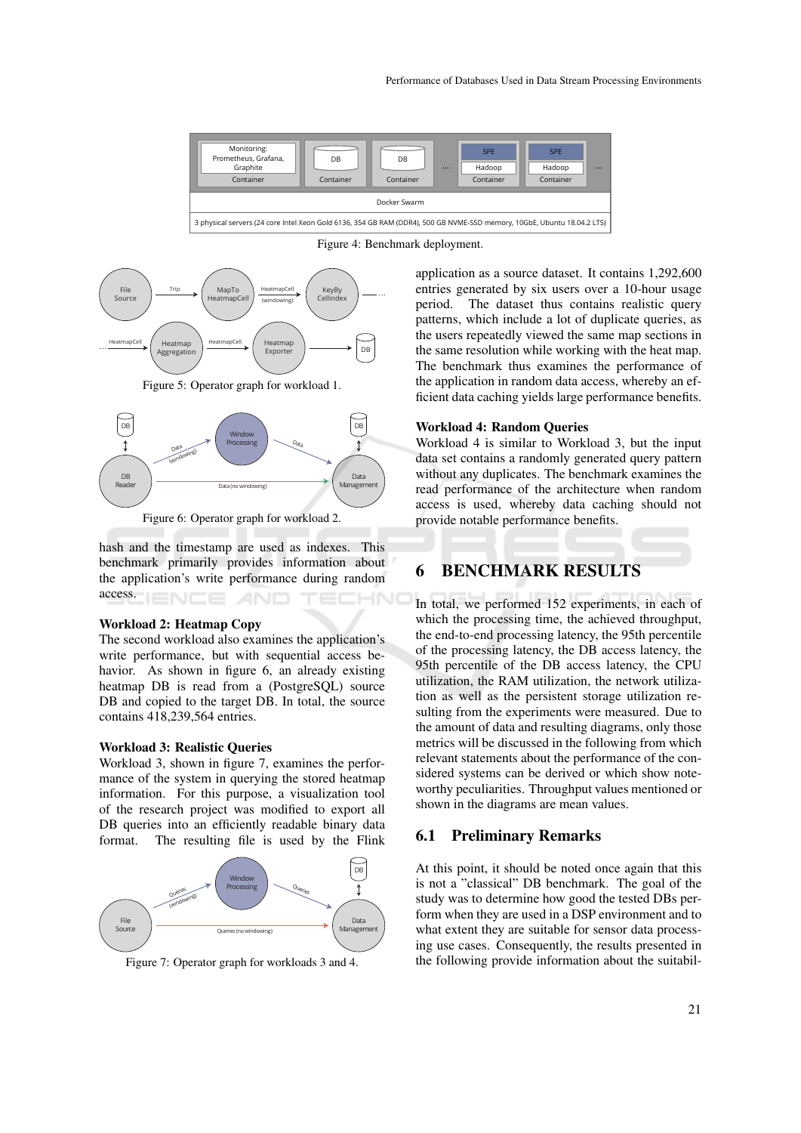

Figure 4: Benchmark deployment.



Figure 5: Operator graph for workload 1.



Figure 6: Operator graph for workload 2.

hash and the timestamp are used as indexes. This benchmark primarily provides information about the application's write performance during random access. –INC

#### Workload 2: Heatmap Copy

The second workload also examines the application's write performance, but with sequential access behavior. As shown in figure 6, an already existing heatmap DB is read from a (PostgreSQL) source DB and copied to the target DB. In total, the source contains 418,239,564 entries.

#### Workload 3: Realistic Queries

Workload 3, shown in figure 7, examines the performance of the system in querying the stored heatmap information. For this purpose, a visualization tool of the research project was modified to export all DB queries into an efficiently readable binary data format. The resulting file is used by the Flink



Figure 7: Operator graph for workloads 3 and 4.

application as a source dataset. It contains 1,292,600 entries generated by six users over a 10-hour usage period. The dataset thus contains realistic query patterns, which include a lot of duplicate queries, as the users repeatedly viewed the same map sections in the same resolution while working with the heat map. The benchmark thus examines the performance of the application in random data access, whereby an efficient data caching yields large performance benefits.

#### Workload 4: Random Queries

Workload 4 is similar to Workload 3, but the input data set contains a randomly generated query pattern without any duplicates. The benchmark examines the read performance of the architecture when random access is used, whereby data caching should not provide notable performance benefits.

### 6 BENCHMARK RESULTS

In total, we performed 152 experiments, in each of which the processing time, the achieved throughput, the end-to-end processing latency, the 95th percentile of the processing latency, the DB access latency, the 95th percentile of the DB access latency, the CPU utilization, the RAM utilization, the network utilization as well as the persistent storage utilization resulting from the experiments were measured. Due to the amount of data and resulting diagrams, only those metrics will be discussed in the following from which relevant statements about the performance of the considered systems can be derived or which show noteworthy peculiarities. Throughput values mentioned or shown in the diagrams are mean values.

### 6.1 Preliminary Remarks

At this point, it should be noted once again that this is not a "classical" DB benchmark. The goal of the study was to determine how good the tested DBs perform when they are used in a DSP environment and to what extent they are suitable for sensor data processing use cases. Consequently, the results presented in the following provide information about the suitabil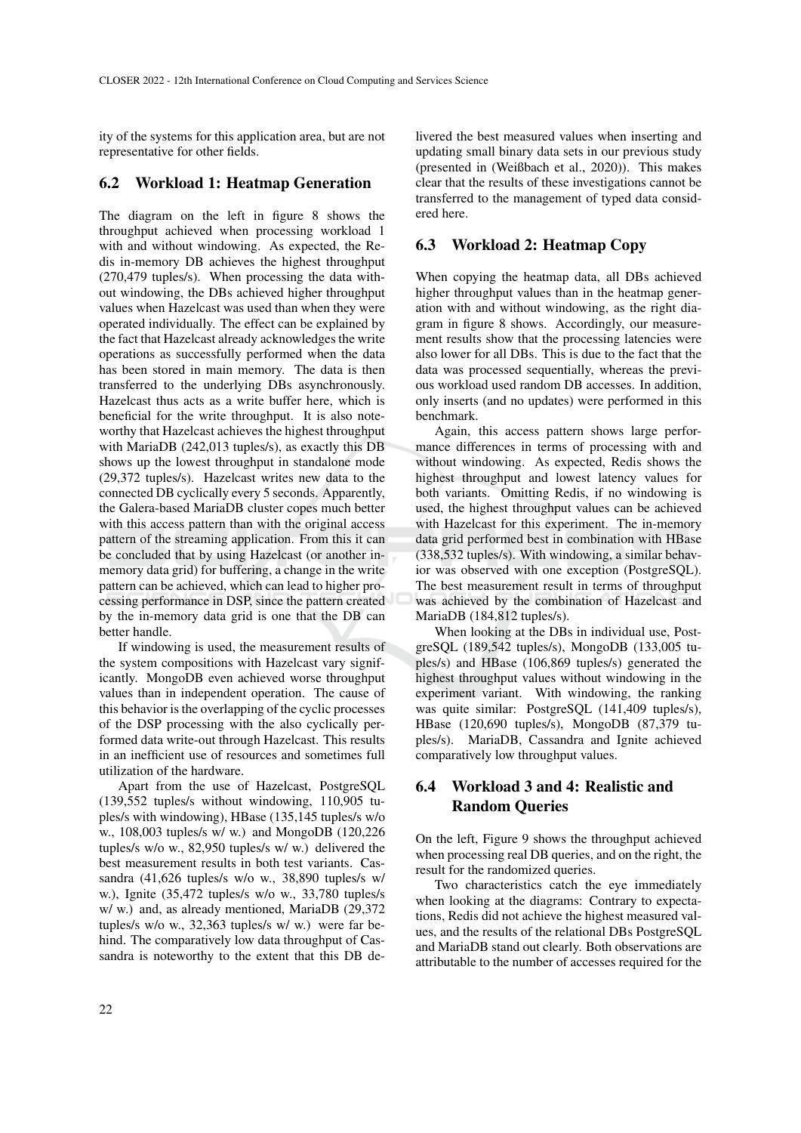ity of the systems for this application area, but are not representative for other fields.

### 6.2 Workload 1: Heatmap Generation

The diagram on the left in figure 8 shows the throughput achieved when processing workload 1 with and without windowing. As expected, the Redis in-memory DB achieves the highest throughput (270,479 tuples/s). When processing the data without windowing, the DBs achieved higher throughput values when Hazelcast was used than when they were operated individually. The effect can be explained by the fact that Hazelcast already acknowledges the write operations as successfully performed when the data has been stored in main memory. The data is then transferred to the underlying DBs asynchronously. Hazelcast thus acts as a write buffer here, which is beneficial for the write throughput. It is also noteworthy that Hazelcast achieves the highest throughput with MariaDB (242,013 tuples/s), as exactly this DB shows up the lowest throughput in standalone mode (29,372 tuples/s). Hazelcast writes new data to the connected DB cyclically every 5 seconds. Apparently, the Galera-based MariaDB cluster copes much better with this access pattern than with the original access pattern of the streaming application. From this it can be concluded that by using Hazelcast (or another inmemory data grid) for buffering, a change in the write pattern can be achieved, which can lead to higher processing performance in DSP, since the pattern created by the in-memory data grid is one that the DB can better handle.

If windowing is used, the measurement results of the system compositions with Hazelcast vary significantly. MongoDB even achieved worse throughput values than in independent operation. The cause of this behavior is the overlapping of the cyclic processes of the DSP processing with the also cyclically performed data write-out through Hazelcast. This results in an inefficient use of resources and sometimes full utilization of the hardware.

Apart from the use of Hazelcast, PostgreSQL (139,552 tuples/s without windowing, 110,905 tuples/s with windowing), HBase (135,145 tuples/s w/o w., 108,003 tuples/s w/ w.) and MongoDB (120,226 tuples/s w/o w., 82,950 tuples/s w/ w.) delivered the best measurement results in both test variants. Cassandra (41,626 tuples/s w/o w., 38,890 tuples/s w/ w.), Ignite (35,472 tuples/s w/o w., 33,780 tuples/s w/ w.) and, as already mentioned, MariaDB (29,372 tuples/s w/o w., 32,363 tuples/s w/ w.) were far behind. The comparatively low data throughput of Cassandra is noteworthy to the extent that this DB de-

livered the best measured values when inserting and updating small binary data sets in our previous study (presented in (Weißbach et al., 2020)). This makes clear that the results of these investigations cannot be transferred to the management of typed data considered here.

### 6.3 Workload 2: Heatmap Copy

When copying the heatmap data, all DBs achieved higher throughput values than in the heatmap generation with and without windowing, as the right diagram in figure 8 shows. Accordingly, our measurement results show that the processing latencies were also lower for all DBs. This is due to the fact that the data was processed sequentially, whereas the previous workload used random DB accesses. In addition, only inserts (and no updates) were performed in this benchmark.

Again, this access pattern shows large performance differences in terms of processing with and without windowing. As expected, Redis shows the highest throughput and lowest latency values for both variants. Omitting Redis, if no windowing is used, the highest throughput values can be achieved with Hazelcast for this experiment. The in-memory data grid performed best in combination with HBase (338,532 tuples/s). With windowing, a similar behavior was observed with one exception (PostgreSQL). The best measurement result in terms of throughput was achieved by the combination of Hazelcast and MariaDB (184,812 tuples/s).

When looking at the DBs in individual use, PostgreSQL (189,542 tuples/s), MongoDB (133,005 tuples/s) and HBase (106,869 tuples/s) generated the highest throughput values without windowing in the experiment variant. With windowing, the ranking was quite similar: PostgreSQL (141,409 tuples/s), HBase (120,690 tuples/s), MongoDB (87,379 tuples/s). MariaDB, Cassandra and Ignite achieved comparatively low throughput values.

# 6.4 Workload 3 and 4: Realistic and Random Queries

On the left, Figure 9 shows the throughput achieved when processing real DB queries, and on the right, the result for the randomized queries.

Two characteristics catch the eye immediately when looking at the diagrams: Contrary to expectations, Redis did not achieve the highest measured values, and the results of the relational DBs PostgreSQL and MariaDB stand out clearly. Both observations are attributable to the number of accesses required for the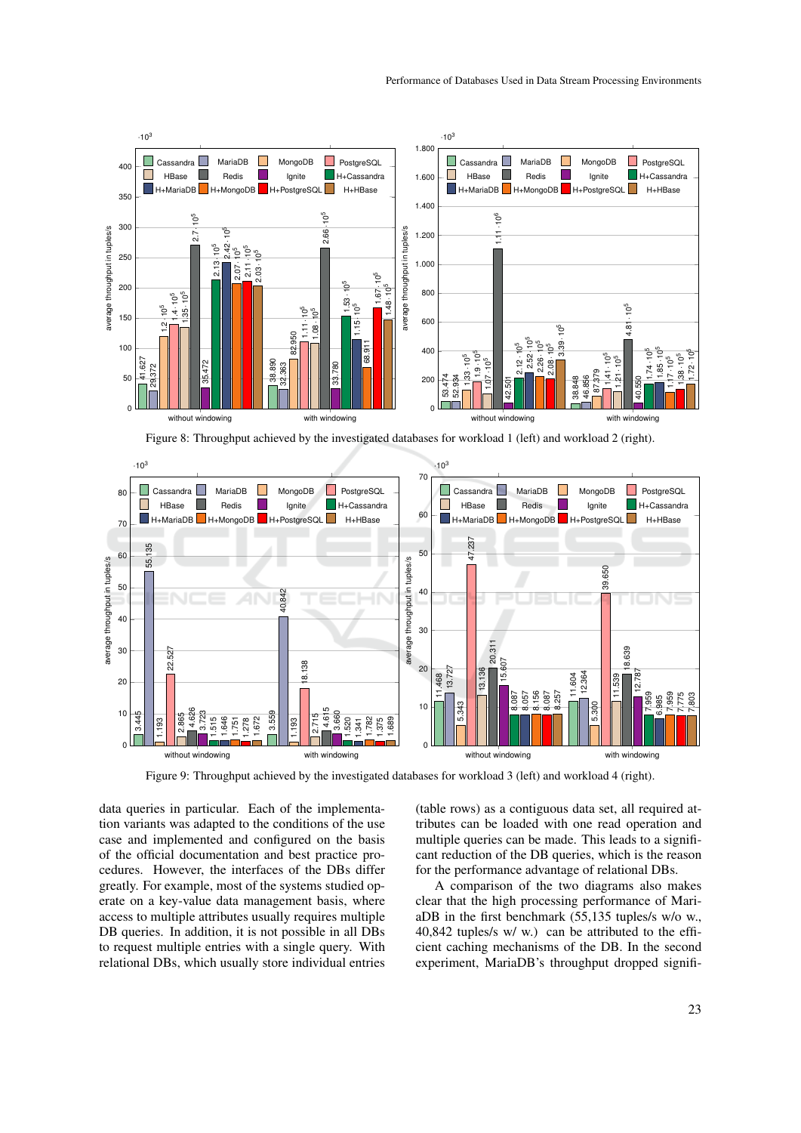

Figure 8: Throughput achieved by the investigated databases for workload 1 (left) and workload 2 (right).



Figure 9: Throughput achieved by the investigated databases for workload 3 (left) and workload 4 (right).

data queries in particular. Each of the implementation variants was adapted to the conditions of the use case and implemented and configured on the basis of the official documentation and best practice procedures. However, the interfaces of the DBs differ greatly. For example, most of the systems studied operate on a key-value data management basis, where access to multiple attributes usually requires multiple DB queries. In addition, it is not possible in all DBs to request multiple entries with a single query. With relational DBs, which usually store individual entries (table rows) as a contiguous data set, all required attributes can be loaded with one read operation and multiple queries can be made. This leads to a significant reduction of the DB queries, which is the reason for the performance advantage of relational DBs.

A comparison of the two diagrams also makes clear that the high processing performance of MariaDB in the first benchmark (55,135 tuples/s w/o w., 40,842 tuples/s w/ w.) can be attributed to the efficient caching mechanisms of the DB. In the second experiment, MariaDB's throughput dropped signifi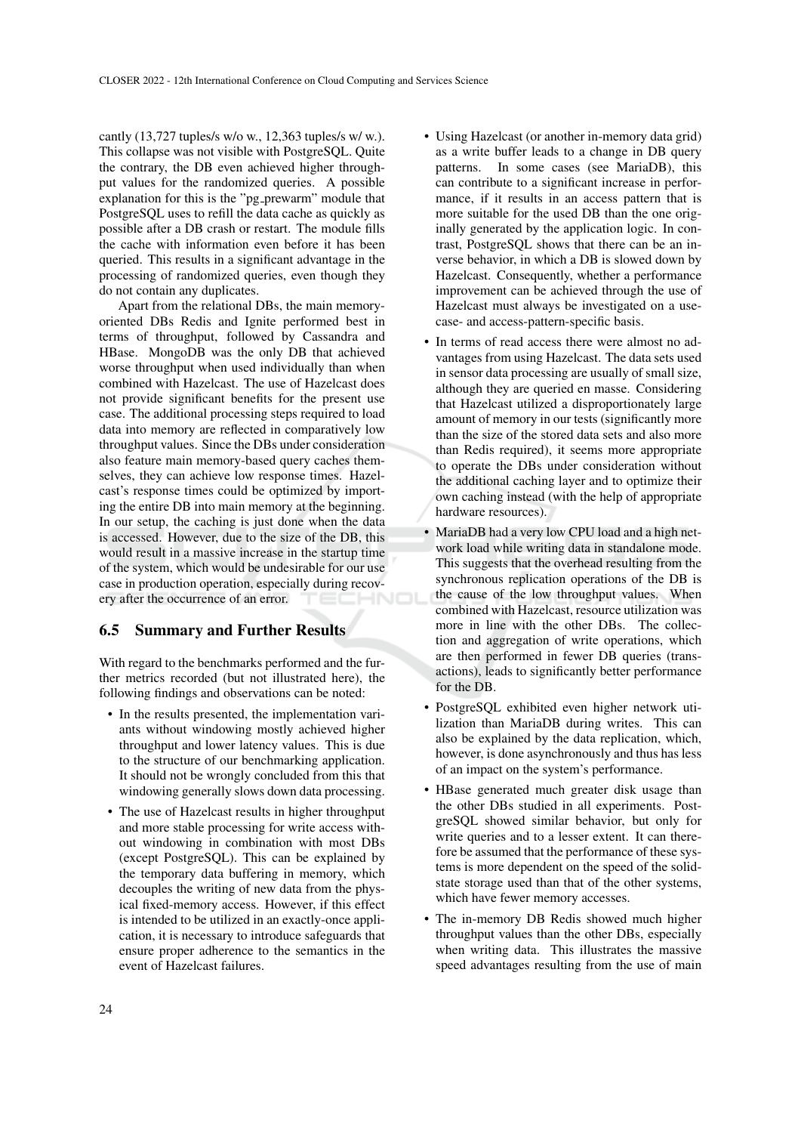cantly (13,727 tuples/s w/o w., 12,363 tuples/s w/ w.). This collapse was not visible with PostgreSQL. Quite the contrary, the DB even achieved higher throughput values for the randomized queries. A possible explanation for this is the "pg\_prewarm" module that PostgreSQL uses to refill the data cache as quickly as possible after a DB crash or restart. The module fills the cache with information even before it has been queried. This results in a significant advantage in the processing of randomized queries, even though they do not contain any duplicates.

Apart from the relational DBs, the main memoryoriented DBs Redis and Ignite performed best in terms of throughput, followed by Cassandra and HBase. MongoDB was the only DB that achieved worse throughput when used individually than when combined with Hazelcast. The use of Hazelcast does not provide significant benefits for the present use case. The additional processing steps required to load data into memory are reflected in comparatively low throughput values. Since the DBs under consideration also feature main memory-based query caches themselves, they can achieve low response times. Hazelcast's response times could be optimized by importing the entire DB into main memory at the beginning. In our setup, the caching is just done when the data is accessed. However, due to the size of the DB, this would result in a massive increase in the startup time of the system, which would be undesirable for our use case in production operation, especially during recovery after the occurrence of an error.

#### 6.5 Summary and Further Results

With regard to the benchmarks performed and the further metrics recorded (but not illustrated here), the following findings and observations can be noted:

- In the results presented, the implementation variants without windowing mostly achieved higher throughput and lower latency values. This is due to the structure of our benchmarking application. It should not be wrongly concluded from this that windowing generally slows down data processing.
- The use of Hazelcast results in higher throughput and more stable processing for write access without windowing in combination with most DBs (except PostgreSQL). This can be explained by the temporary data buffering in memory, which decouples the writing of new data from the physical fixed-memory access. However, if this effect is intended to be utilized in an exactly-once application, it is necessary to introduce safeguards that ensure proper adherence to the semantics in the event of Hazelcast failures.
- Using Hazelcast (or another in-memory data grid) as a write buffer leads to a change in DB query patterns. In some cases (see MariaDB), this can contribute to a significant increase in performance, if it results in an access pattern that is more suitable for the used DB than the one originally generated by the application logic. In contrast, PostgreSQL shows that there can be an inverse behavior, in which a DB is slowed down by Hazelcast. Consequently, whether a performance improvement can be achieved through the use of Hazelcast must always be investigated on a usecase- and access-pattern-specific basis.
- In terms of read access there were almost no advantages from using Hazelcast. The data sets used in sensor data processing are usually of small size, although they are queried en masse. Considering that Hazelcast utilized a disproportionately large amount of memory in our tests (significantly more than the size of the stored data sets and also more than Redis required), it seems more appropriate to operate the DBs under consideration without the additional caching layer and to optimize their own caching instead (with the help of appropriate hardware resources).
- MariaDB had a very low CPU load and a high network load while writing data in standalone mode. This suggests that the overhead resulting from the synchronous replication operations of the DB is the cause of the low throughput values. When combined with Hazelcast, resource utilization was more in line with the other DBs. The collection and aggregation of write operations, which are then performed in fewer DB queries (transactions), leads to significantly better performance for the DB.
- PostgreSQL exhibited even higher network utilization than MariaDB during writes. This can also be explained by the data replication, which, however, is done asynchronously and thus has less of an impact on the system's performance.
- HBase generated much greater disk usage than the other DBs studied in all experiments. PostgreSQL showed similar behavior, but only for write queries and to a lesser extent. It can therefore be assumed that the performance of these systems is more dependent on the speed of the solidstate storage used than that of the other systems, which have fewer memory accesses.
- The in-memory DB Redis showed much higher throughput values than the other DBs, especially when writing data. This illustrates the massive speed advantages resulting from the use of main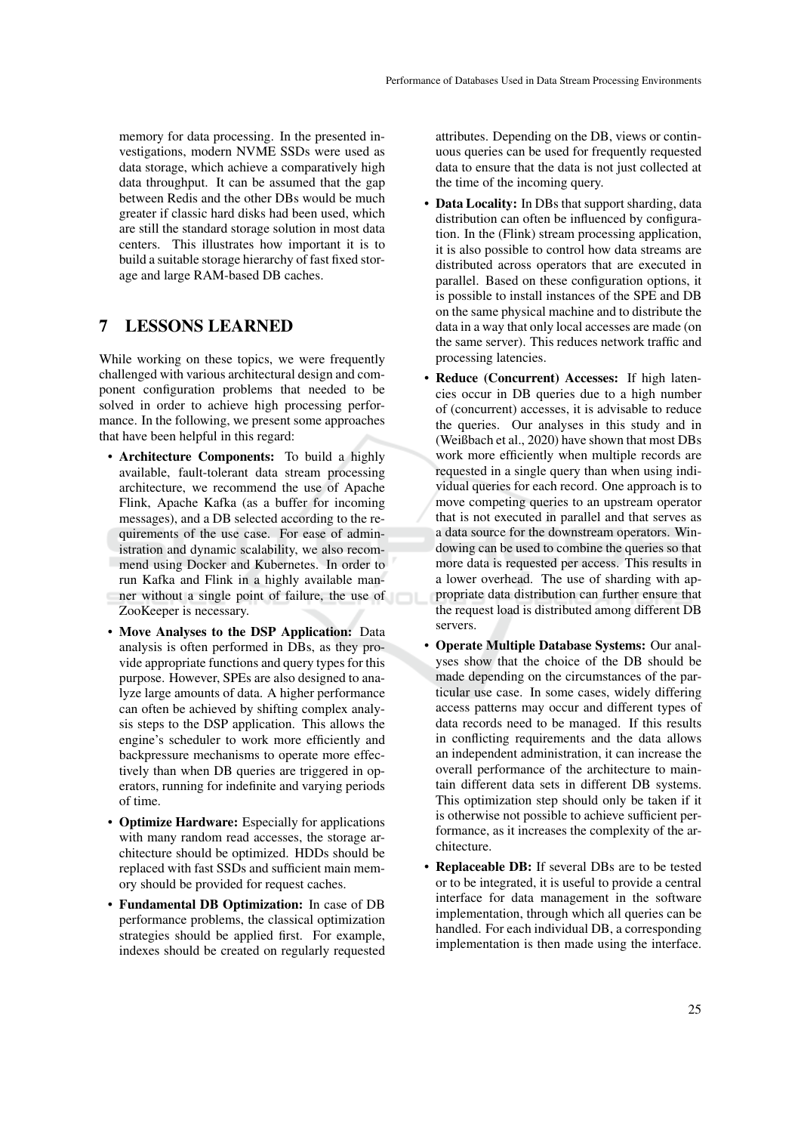memory for data processing. In the presented investigations, modern NVME SSDs were used as data storage, which achieve a comparatively high data throughput. It can be assumed that the gap between Redis and the other DBs would be much greater if classic hard disks had been used, which are still the standard storage solution in most data centers. This illustrates how important it is to build a suitable storage hierarchy of fast fixed storage and large RAM-based DB caches.

## 7 LESSONS LEARNED

While working on these topics, we were frequently challenged with various architectural design and component configuration problems that needed to be solved in order to achieve high processing performance. In the following, we present some approaches that have been helpful in this regard:

- Architecture Components: To build a highly available, fault-tolerant data stream processing architecture, we recommend the use of Apache Flink, Apache Kafka (as a buffer for incoming messages), and a DB selected according to the requirements of the use case. For ease of administration and dynamic scalability, we also recommend using Docker and Kubernetes. In order to run Kafka and Flink in a highly available manner without a single point of failure, the use of ZooKeeper is necessary.
- Move Analyses to the DSP Application: Data analysis is often performed in DBs, as they provide appropriate functions and query types for this purpose. However, SPEs are also designed to analyze large amounts of data. A higher performance can often be achieved by shifting complex analysis steps to the DSP application. This allows the engine's scheduler to work more efficiently and backpressure mechanisms to operate more effectively than when DB queries are triggered in operators, running for indefinite and varying periods of time.
- **Optimize Hardware:** Especially for applications with many random read accesses, the storage architecture should be optimized. HDDs should be replaced with fast SSDs and sufficient main memory should be provided for request caches.
- Fundamental DB Optimization: In case of DB performance problems, the classical optimization strategies should be applied first. For example, indexes should be created on regularly requested

attributes. Depending on the DB, views or continuous queries can be used for frequently requested data to ensure that the data is not just collected at the time of the incoming query.

- Data Locality: In DBs that support sharding, data distribution can often be influenced by configuration. In the (Flink) stream processing application, it is also possible to control how data streams are distributed across operators that are executed in parallel. Based on these configuration options, it is possible to install instances of the SPE and DB on the same physical machine and to distribute the data in a way that only local accesses are made (on the same server). This reduces network traffic and processing latencies.
- Reduce (Concurrent) Accesses: If high latencies occur in DB queries due to a high number of (concurrent) accesses, it is advisable to reduce the queries. Our analyses in this study and in (Weißbach et al., 2020) have shown that most DBs work more efficiently when multiple records are requested in a single query than when using individual queries for each record. One approach is to move competing queries to an upstream operator that is not executed in parallel and that serves as a data source for the downstream operators. Windowing can be used to combine the queries so that more data is requested per access. This results in a lower overhead. The use of sharding with appropriate data distribution can further ensure that the request load is distributed among different DB servers.
- Operate Multiple Database Systems: Our analyses show that the choice of the DB should be made depending on the circumstances of the particular use case. In some cases, widely differing access patterns may occur and different types of data records need to be managed. If this results in conflicting requirements and the data allows an independent administration, it can increase the overall performance of the architecture to maintain different data sets in different DB systems. This optimization step should only be taken if it is otherwise not possible to achieve sufficient performance, as it increases the complexity of the architecture.
- Replaceable DB: If several DBs are to be tested or to be integrated, it is useful to provide a central interface for data management in the software implementation, through which all queries can be handled. For each individual DB, a corresponding implementation is then made using the interface.